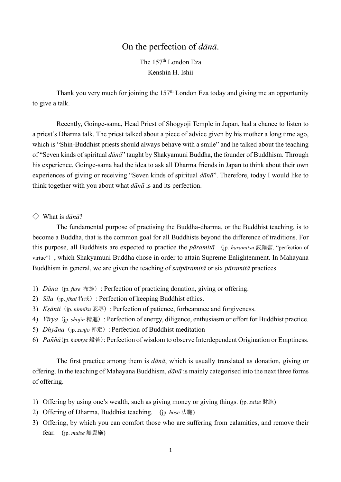# On the perfection of *dānā*.

The 157th London Eza Kenshin H. Ishii

Thank you very much for joining the  $157<sup>th</sup>$  London Eza today and giving me an opportunity to give a talk.

Recently, Goinge-sama, Head Priest of Shogyoji Temple in Japan, had a chance to listen to a priest's Dharma talk. The priest talked about a piece of advice given by his mother a long time ago, which is "Shin-Buddhist priests should always behave with a smile" and he talked about the teaching of "Seven kinds of spiritual *dānā*" taught by Shakyamuni Buddha, the founder of Buddhism. Through his experience, Goinge-sama had the idea to ask all Dharma friends in Japan to think about their own experiences of giving or receiving "Seven kinds of spiritual *dānā*". Therefore, today I would like to think together with you about what *dānā* is and its perfection.

### ◇ What is *dānā*?

The fundamental purpose of practising the Buddha-dharma, or the Buddhist teaching, is to become a Buddha, that is the common goal for all Buddhists beyond the difference of traditions. For this purpose, all Buddhists are expected to practice the *pāramitā* (jp. *haramitsu* 波羅蜜, "perfection of virtue"), which Shakyamuni Buddha chose in order to attain Supreme Enlightenment. In Mahayana Buddhism in general, we are given the teaching of *satpāramitā* or six *pāramitā* practices.

- 1) *Dāna*(jp. *fuse* 布施): Perfection of practicing donation, giving or offering.
- 2) *Sīla*(jp. *jikai* 持戒): Perfection of keeping Buddhist ethics.
- 3) *Kṣānti*(jp. *ninniku* 忍辱): Perfection of patience, forbearance and forgiveness.
- 4) *Vīrya*(jp. *shojin* 精進): Perfection of energy, diligence, enthusiasm or effort for Buddhist practice.
- 5) *Dhyāna*(jp. *zenjo* 禅定): Perfection of Buddhist meditation
- 6) *Paññā*(jp. *hannya* 般若): Perfection of wisdom to observe Interdependent Origination or Emptiness.

The first practice among them is *dānā*, which is usually translated as donation, giving or offering. In the teaching of Mahayana Buddhism, *dānā* is mainly categorised into the next three forms of offering.

- 1) Offering by using one's wealth, such as giving money or giving things. (jp. *zaise* 財施)
- 2) Offering of Dharma, Buddhist teaching. (jp. *hōse* 法施)
- 3) Offering, by which you can comfort those who are suffering from calamities, and remove their fear. (jp. *muise* 無畏施)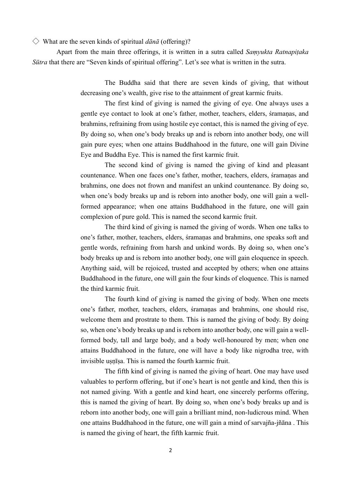$\Diamond$  What are the seven kinds of spiritual *dānā* (offering)?

Apart from the main three offerings, it is written in a sutra called *Saṃyukta Ratnapiṭaka Sūtra* that there are "Seven kinds of spiritual offering". Let's see what is written in the sutra.

> The Buddha said that there are seven kinds of giving, that without decreasing one's wealth, give rise to the attainment of great karmic fruits.

> The first kind of giving is named the giving of eye. One always uses a gentle eye contact to look at one's father, mother, teachers, elders, śramaṇas, and brahmins, refraining from using hostile eye contact, this is named the giving of eye. By doing so, when one's body breaks up and is reborn into another body, one will gain pure eyes; when one attains Buddhahood in the future, one will gain Divine Eye and Buddha Eye. This is named the first karmic fruit.

> The second kind of giving is named the giving of kind and pleasant countenance. When one faces one's father, mother, teachers, elders, śramaṇas and brahmins, one does not frown and manifest an unkind countenance. By doing so, when one's body breaks up and is reborn into another body, one will gain a wellformed appearance; when one attains Buddhahood in the future, one will gain complexion of pure gold. This is named the second karmic fruit.

> The third kind of giving is named the giving of words. When one talks to one's father, mother, teachers, elders, śramaṇas and brahmins, one speaks soft and gentle words, refraining from harsh and unkind words. By doing so, when one's body breaks up and is reborn into another body, one will gain eloquence in speech. Anything said, will be rejoiced, trusted and accepted by others; when one attains Buddhahood in the future, one will gain the four kinds of eloquence. This is named the third karmic fruit.

> The fourth kind of giving is named the giving of body. When one meets one's father, mother, teachers, elders, śramaṇas and brahmins, one should rise, welcome them and prostrate to them. This is named the giving of body. By doing so, when one's body breaks up and is reborn into another body, one will gain a wellformed body, tall and large body, and a body well-honoured by men; when one attains Buddhahood in the future, one will have a body like nigrodha tree, with invisible usnīsa. This is named the fourth karmic fruit.

> The fifth kind of giving is named the giving of heart. One may have used valuables to perform offering, but if one's heart is not gentle and kind, then this is not named giving. With a gentle and kind heart, one sincerely performs offering, this is named the giving of heart. By doing so, when one's body breaks up and is reborn into another body, one will gain a brilliant mind, non-ludicrous mind. When one attains Buddhahood in the future, one will gain a mind of sarvajña-jñāna . This is named the giving of heart, the fifth karmic fruit.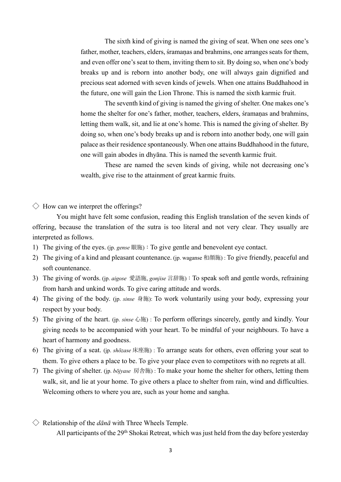The sixth kind of giving is named the giving of seat. When one sees one's father, mother, teachers, elders, śramaṇas and brahmins, one arranges seats for them, and even offer one's seat to them, inviting them to sit. By doing so, when one's body breaks up and is reborn into another body, one will always gain dignified and precious seat adorned with seven kinds of jewels. When one attains Buddhahood in the future, one will gain the Lion Throne. This is named the sixth karmic fruit.

The seventh kind of giving is named the giving of shelter. One makes one's home the shelter for one's father, mother, teachers, elders, śramaṇas and brahmins, letting them walk, sit, and lie at one's home. This is named the giving of shelter. By doing so, when one's body breaks up and is reborn into another body, one will gain palace as their residence spontaneously. When one attains Buddhahood in the future, one will gain abodes in dhyāna. This is named the seventh karmic fruit.

These are named the seven kinds of giving, while not decreasing one's wealth, give rise to the attainment of great karmic fruits.

 $\diamondsuit$  How can we interpret the offerings?

You might have felt some confusion, reading this English translation of the seven kinds of offering, because the translation of the sutra is too literal and not very clear. They usually are interpreted as follows.

- 1) The giving of the eyes. (jp. *gense* 眼施):To give gentle and benevolent eye contact.
- 2) The giving of a kind and pleasant countenance. (jp. waganse 和顔施) : To give friendly, peaceful and soft countenance.
- 3) The giving of words. (jp. *aigose* 愛語施, *gonjise* ⾔辞施):To speak soft and gentle words, refraining from harsh and unkind words. To give caring attitude and words.
- 4) The giving of the body. (jp. *sinse* ⾝施): To work voluntarily using your body, expressing your respect by your body.
- 5) The giving of the heart. (jp. *sinse* ⼼施) : To perform offerings sincerely, gently and kindly. Your giving needs to be accompanied with your heart. To be mindful of your neighbours. To have a heart of harmony and goodness.
- 6) The giving of a seat. (jp. *shōzase* 床座施) : To arrange seats for others, even offering your seat to them. To give others a place to be. To give your place even to competitors with no regrets at all.
- 7) The giving of shelter. (jp. *bōjyase* 房舎施) : To make your home the shelter for others, letting them walk, sit, and lie at your home. To give others a place to shelter from rain, wind and difficulties. Welcoming others to where you are, such as your home and sangha.
- $\Diamond$  Relationship of the *dānā* with Three Wheels Temple. All participants of the 29<sup>th</sup> Shokai Retreat, which was just held from the day before yesterday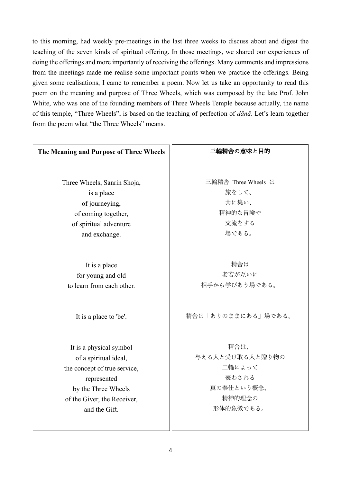to this morning, had weekly pre-meetings in the last three weeks to discuss about and digest the teaching of the seven kinds of spiritual offering. In those meetings, we shared our experiences of doing the offerings and more importantly of receiving the offerings. Many comments and impressions from the meetings made me realise some important points when we practice the offerings. Being given some realisations, I came to remember a poem. Now let us take an opportunity to read this poem on the meaning and purpose of Three Wheels, which was composed by the late Prof. John White, who was one of the founding members of Three Wheels Temple because actually, the name of this temple, "Three Wheels", is based on the teaching of perfection of *dānā*. Let's learn together from the poem what "the Three Wheels" means.

# **The Meaning and Purpose of Three Wheels** Three Wheels, Sanrin Shoja, is a place of journeying, of coming together, of spiritual adventure and exchange. It is a place for young and old to learn from each other. It is a place to 'be'. It is a physical symbol of a spiritual ideal, the concept of true service, represented by the Three Wheels of the Giver, the Receiver, and the Gift. 三輪精舎の意味と目的 三輪精舎 Three Wheels は 旅をして、 共に集い、 精神的な冒険や 交流をする 場である。 精舎は 老若が互いに 相手から学びあう場である。 精舎は「ありのままにある」場である。 精舎は、 与える⼈と受け取る⼈と贈り物の 三輪によって 表わされる 真の奉仕という概念、 精神的理念の 形体的象徴である。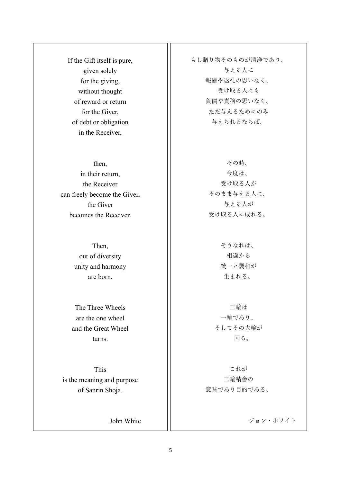If the Gift itself is pure, given solely for the giving, without thought of reward or return for the Giver, of debt or obligation in the Receiver,

then, in their return, the Receiver can freely become the Giver, the Giver becomes the Receiver.

> Then, out of diversity unity and harmony are born.

The Three Wheels are the one wheel and the Great Wheel turns.

This is the meaning and purpose of Sanrin Shoja.

John White

もし贈り物そのものが清浄であり、 与える人に 報酬や返礼の思いなく、 受け取る⼈にも 負債や責務の思いなく、 ただ与えるためにのみ 与えられるならば、

> その時、 今度は、 受け取る⼈が そのまま与える人に、 与える人が 受け取る⼈に成れる。

> > そうなれば、 相違から 統一と調和が 生まれる。

三輪は ⼀輪であり、 そしてその大輪が 回る。

これが 三輪精舎の 意味であり目的である。

ジョン・ホワイト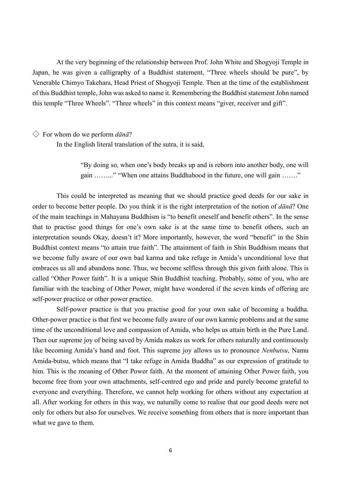At the very beginning of the relationship between Prof. John White and Shogyoji Temple in Japan, he was given a calligraphy of a Buddhist statement, "Three wheels should be pure", by Venerable Chimyo Takehara, Head Priest of Shogyoji Temple. Then at the time of the establishment of this Buddhist temple, John was asked to name it. Remembering the Buddhist statement John named this temple "Three Wheels". "Three wheels" in this context means "giver, receiver and gift".

#### ◇ For whom do we perform *dānā*?

In the English literal translation of the sutra, it is said,

"By doing so, when one's body breaks up and is reborn into another body, one will gain ……..." "When one attains Buddhahood in the future, one will gain ……."

This could be interpreted as meaning that we should practice good deeds for our sake in order to become better people. Do you think it is the right interpretation of the notion of *dānā*? One of the main teachings in Mahayana Buddhism is "to benefit oneself and benefit others". In the sense that to practise good things for one's own sake is at the same time to benefit others, such an interpretation sounds Okay, doesn't it? More importantly, however, the word "benefit" in the Shin Buddhist context means "to attain true faith". The attainment of faith in Shin Buddhism means that we become fully aware of our own bad karma and take refuge in Amida's unconditional love that embraces us all and abandons none. Thus, we become selfless through this given faith alone. This is called "Other Power faith". It is a unique Shin Buddhist teaching. Probably, some of you, who are familiar with the teaching of Other Power, might have wondered if the seven kinds of offering are self-power practice or other power practice.

Self-power practice is that you practise good for your own sake of becoming a buddha. Other-power practice is that first we become fully aware of our own karmic problems and at the same time of the unconditional love and compassion of Amida, who helps us attain birth in the Pure Land. Then our supreme joy of being saved by Amida makes us work for others naturally and continuously like becoming Amida's hand and foot. This supreme joy allows us to pronounce *Nenbutsu*, Namu Amida-butsu, which means that "I take refuge in Amida Buddha" as our expression of gratitude to him. This is the meaning of Other Power faith. At the moment of attaining Other Power faith, you become free from your own attachments, self-centred ego and pride and purely become grateful to everyone and everything. Therefore, we cannot help working for others without any expectation at all. After working for others in this way, we naturally come to realise that our good deeds were not only for others but also for ourselves. We receive something from others that is more important than what we gave to them.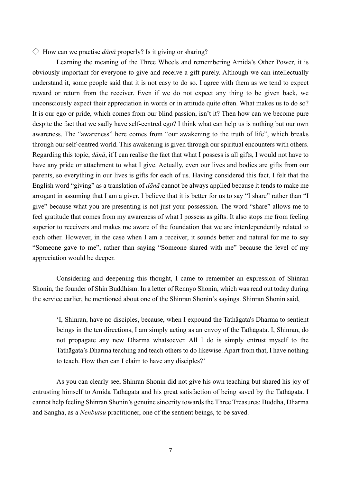### $\Diamond$  How can we practise *dānā* properly? Is it giving or sharing?

Learning the meaning of the Three Wheels and remembering Amida's Other Power, it is obviously important for everyone to give and receive a gift purely. Although we can intellectually understand it, some people said that it is not easy to do so. I agree with them as we tend to expect reward or return from the receiver. Even if we do not expect any thing to be given back, we unconsciously expect their appreciation in words or in attitude quite often. What makes us to do so? It is our ego or pride, which comes from our blind passion, isn't it? Then how can we become pure despite the fact that we sadly have self-centred ego? I think what can help us is nothing but our own awareness. The "awareness" here comes from "our awakening to the truth of life", which breaks through our self-centred world. This awakening is given through our spiritual encounters with others. Regarding this topic, *dānā*, if I can realise the fact that what I possess is all gifts, I would not have to have any pride or attachment to what I give. Actually, even our lives and bodies are gifts from our parents, so everything in our lives is gifts for each of us. Having considered this fact, I felt that the English word "giving" as a translation of *dānā* cannot be always applied because it tends to make me arrogant in assuming that I am a giver. I believe that it is better for us to say "I share" rather than "I give" because what you are presenting is not just your possession. The word "share" allows me to feel gratitude that comes from my awareness of what I possess as gifts. It also stops me from feeling superior to receivers and makes me aware of the foundation that we are interdependently related to each other. However, in the case when I am a receiver, it sounds better and natural for me to say "Someone gave to me", rather than saying "Someone shared with me" because the level of my appreciation would be deeper.

Considering and deepening this thought, I came to remember an expression of Shinran Shonin, the founder of Shin Buddhism. In a letter of Rennyo Shonin, which was read out today during the service earlier, he mentioned about one of the Shinran Shonin's sayings. Shinran Shonin said,

'I, Shinran, have no disciples, because, when I expound the Tathāgata's Dharma to sentient beings in the ten directions, I am simply acting as an envoy of the Tathāgata. I, Shinran, do not propagate any new Dharma whatsoever. All I do is simply entrust myself to the Tathāgata's Dharma teaching and teach others to do likewise. Apart from that, I have nothing to teach. How then can I claim to have any disciples?'

As you can clearly see, Shinran Shonin did not give his own teaching but shared his joy of entrusting himself to Amida Tathāgata and his great satisfaction of being saved by the Tathāgata. I cannot help feeling Shinran Shonin's genuine sincerity towards the Three Treasures: Buddha, Dharma and Sangha, as a *Nenbutsu* practitioner, one of the sentient beings, to be saved.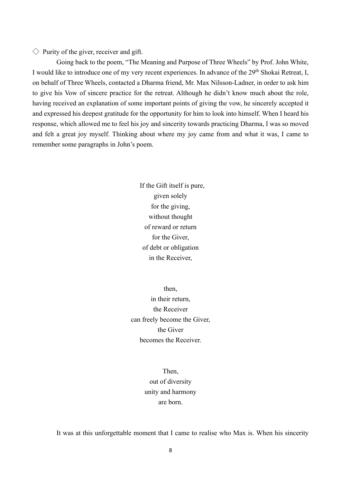$\Diamond$  Purity of the giver, receiver and gift.

Going back to the poem, "The Meaning and Purpose of Three Wheels" by Prof. John White, I would like to introduce one of my very recent experiences. In advance of the 29<sup>th</sup> Shokai Retreat, I, on behalf of Three Wheels, contacted a Dharma friend, Mr. Max Nilsson-Ladner, in order to ask him to give his Vow of sincere practice for the retreat. Although he didn't know much about the role, having received an explanation of some important points of giving the vow, he sincerely accepted it and expressed his deepest gratitude for the opportunity for him to look into himself. When I heard his response, which allowed me to feel his joy and sincerity towards practicing Dharma, I was so moved and felt a great joy myself. Thinking about where my joy came from and what it was, I came to remember some paragraphs in John's poem.

> If the Gift itself is pure, given solely for the giving, without thought of reward or return for the Giver, of debt or obligation in the Receiver,

then, in their return, the Receiver can freely become the Giver, the Giver becomes the Receiver.

> Then, out of diversity unity and harmony are born.

It was at this unforgettable moment that I came to realise who Max is. When his sincerity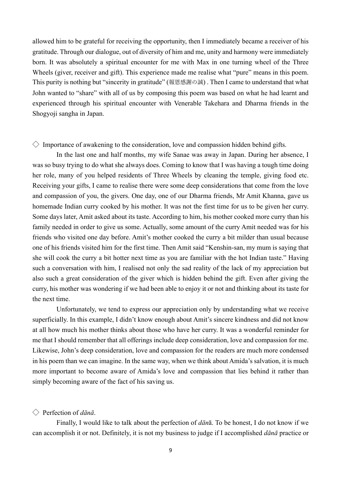allowed him to be grateful for receiving the opportunity, then I immediately became a receiver of his gratitude. Through our dialogue, out of diversity of him and me, unity and harmony were immediately born. It was absolutely a spiritual encounter for me with Max in one turning wheel of the Three Wheels (giver, receiver and gift). This experience made me realise what "pure" means in this poem. This purity is nothing but "sincerity in gratitude" (報恩感謝の誠) . Then I came to understand that what John wanted to "share" with all of us by composing this poem was based on what he had learnt and experienced through his spiritual encounter with Venerable Takehara and Dharma friends in the Shogyoji sangha in Japan.

# $\Diamond$  Importance of awakening to the consideration, love and compassion hidden behind gifts.

In the last one and half months, my wife Sanae was away in Japan. During her absence, I was so busy trying to do what she always does. Coming to know that I was having a tough time doing her role, many of you helped residents of Three Wheels by cleaning the temple, giving food etc. Receiving your gifts, I came to realise there were some deep considerations that come from the love and compassion of you, the givers. One day, one of our Dharma friends, Mr Amit Khanna, gave us homemade Indian curry cooked by his mother. It was not the first time for us to be given her curry. Some days later, Amit asked about its taste. According to him, his mother cooked more curry than his family needed in order to give us some. Actually, some amount of the curry Amit needed was for his friends who visited one day before. Amit's mother cooked the curry a bit milder than usual because one of his friends visited him for the first time. Then Amit said "Kenshin-san, my mum is saying that she will cook the curry a bit hotter next time as you are familiar with the hot Indian taste." Having such a conversation with him, I realised not only the sad reality of the lack of my appreciation but also such a great consideration of the giver which is hidden behind the gift. Even after giving the curry, his mother was wondering if we had been able to enjoy it or not and thinking about its taste for the next time.

Unfortunately, we tend to express our appreciation only by understanding what we receive superficially. In this example, I didn't know enough about Amit's sincere kindness and did not know at all how much his mother thinks about those who have her curry. It was a wonderful reminder for me that I should remember that all offerings include deep consideration, love and compassion for me. Likewise, John's deep consideration, love and compassion for the readers are much more condensed in his poem than we can imagine. In the same way, when we think about Amida's salvation, it is much more important to become aware of Amida's love and compassion that lies behind it rather than simply becoming aware of the fact of his saving us.

## ◇ Perfection of *dānā*.

Finally, I would like to talk about the perfection of *dān*ā. To be honest, I do not know if we can accomplish it or not. Definitely, it is not my business to judge if I accomplished *dānā* practice or